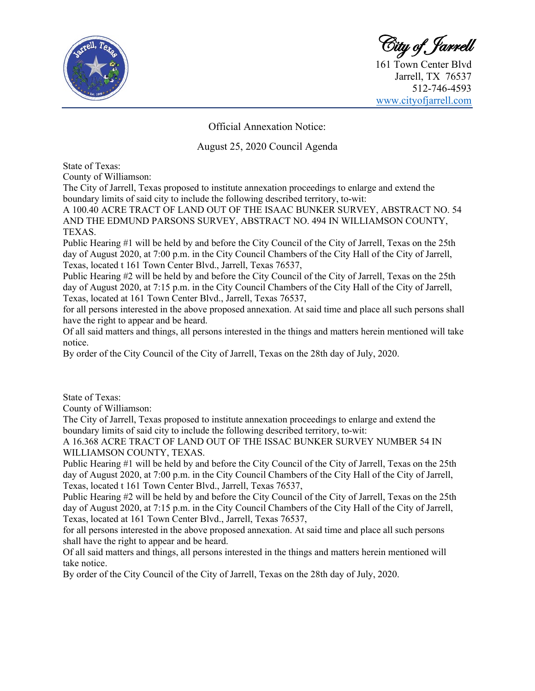

City of Jarrell

161 Town Center Blvd Jarrell, TX 76537 512-746-4593 [www.cityofjarrell.com](http://www.cityofjarrell.com/)

Official Annexation Notice:

## August 25, 2020 Council Agenda

State of Texas:

County of Williamson:

The City of Jarrell, Texas proposed to institute annexation proceedings to enlarge and extend the boundary limits of said city to include the following described territory, to-wit:

A 100.40 ACRE TRACT OF LAND OUT OF THE ISAAC BUNKER SURVEY, ABSTRACT NO. 54 AND THE EDMUND PARSONS SURVEY, ABSTRACT NO. 494 IN WILLIAMSON COUNTY, TEXAS.

Public Hearing #1 will be held by and before the City Council of the City of Jarrell, Texas on the 25th day of August 2020, at 7:00 p.m. in the City Council Chambers of the City Hall of the City of Jarrell, Texas, located t 161 Town Center Blvd., Jarrell, Texas 76537,

Public Hearing #2 will be held by and before the City Council of the City of Jarrell, Texas on the 25th day of August 2020, at 7:15 p.m. in the City Council Chambers of the City Hall of the City of Jarrell, Texas, located at 161 Town Center Blvd., Jarrell, Texas 76537,

for all persons interested in the above proposed annexation. At said time and place all such persons shall have the right to appear and be heard.

Of all said matters and things, all persons interested in the things and matters herein mentioned will take notice.

By order of the City Council of the City of Jarrell, Texas on the 28th day of July, 2020.

State of Texas:

County of Williamson:

The City of Jarrell, Texas proposed to institute annexation proceedings to enlarge and extend the boundary limits of said city to include the following described territory, to-wit:

A 16.368 ACRE TRACT OF LAND OUT OF THE ISSAC BUNKER SURVEY NUMBER 54 IN WILLIAMSON COUNTY, TEXAS.

Public Hearing #1 will be held by and before the City Council of the City of Jarrell, Texas on the 25th day of August 2020, at 7:00 p.m. in the City Council Chambers of the City Hall of the City of Jarrell, Texas, located t 161 Town Center Blvd., Jarrell, Texas 76537,

Public Hearing #2 will be held by and before the City Council of the City of Jarrell, Texas on the 25th day of August 2020, at 7:15 p.m. in the City Council Chambers of the City Hall of the City of Jarrell, Texas, located at 161 Town Center Blvd., Jarrell, Texas 76537,

for all persons interested in the above proposed annexation. At said time and place all such persons shall have the right to appear and be heard.

Of all said matters and things, all persons interested in the things and matters herein mentioned will take notice.

By order of the City Council of the City of Jarrell, Texas on the 28th day of July, 2020.